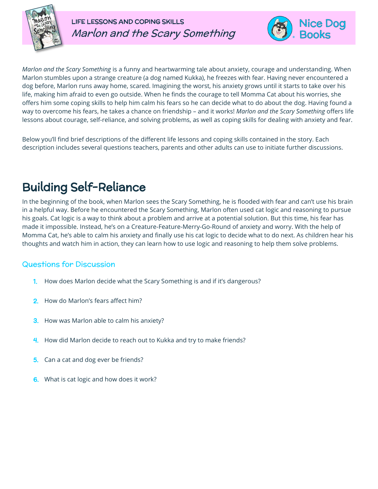

LIFE LESSONS AND COPING SKILLS Marlon and the Scary Something



*Marlon and the Scary Something* is a funny and heartwarming tale about anxiety, courage and understanding. When Marlon stumbles upon a strange creature (a dog named Kukka), he freezes with fear. Having never encountered a dog before, Marlon runs away home, scared. Imagining the worst, his anxiety grows until it starts to take over his life, making him afraid to even go outside. When he finds the courage to tell Momma Cat about his worries, she offers him some coping skills to help him calm his fears so he can decide what to do about the dog. Having found a way to overcome his fears, he takes a chance on friendship – and it works! *Marlon and the Scary Something* offers life lessons about courage, self-reliance, and solving problems, as well as coping skills for dealing with anxiety and fear.

Below you'll find brief descriptions of the different life lessons and coping skills contained in the story. Each description includes several questions teachers, parents and other adults can use to initiate further discussions.

# Building Self-Reliance

In the beginning of the book, when Marlon sees the Scary Something, he is flooded with fear and can't use his brain in a helpful way. Before he encountered the Scary Something, Marlon often used cat logic and reasoning to pursue his goals. Cat logic is a way to think about a problem and arrive at a potential solution. But this time, his fear has made it impossible. Instead, he's on a Creature-Feature-Merry-Go-Round of anxiety and worry. With the help of Momma Cat, he's able to calm his anxiety and finally use his cat logic to decide what to do next. As children hear his thoughts and watch him in action, they can learn how to use logic and reasoning to help them solve problems.

#### Questions for Discussion

- 1. How does Marlon decide what the Scary Something is and if it's dangerous?
- 2. How do Marlon's fears affect him?
- **3.** How was Marlon able to calm his anxiety?
- 4. How did Marlon decide to reach out to Kukka and try to make friends?
- 5. Can a cat and dog ever be friends?
- What is cat logic and how does it work?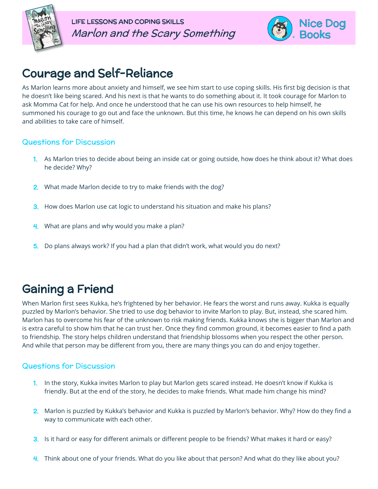



### Courage and Self-Reliance

As Marlon learns more about anxiety and himself, we see him start to use coping skills. His first big decision is that he doesn't like being scared. And his next is that he wants to do something about it. It took courage for Marlon to ask Momma Cat for help. And once he understood that he can use his own resources to help himself, he summoned his courage to go out and face the unknown. But this time, he knows he can depend on his own skills and abilities to take care of himself.

#### Questions for Discussion

- 1. As Marlon tries to decide about being an inside cat or going outside, how does he think about it? What does he decide? Why?
- 2. What made Marlon decide to try to make friends with the dog?
- 3. How does Marlon use cat logic to understand his situation and make his plans?
- What are plans and why would you make a plan?
- 5. Do plans always work? If you had a plan that didn't work, what would you do next?

### Gaining a Friend

When Marlon first sees Kukka, he's frightened by her behavior. He fears the worst and runs away. Kukka is equally puzzled by Marlon's behavior. She tried to use dog behavior to invite Marlon to play. But, instead, she scared him. Marlon has to overcome his fear of the unknown to risk making friends. Kukka knows she is bigger than Marlon and is extra careful to show him that he can trust her. Once they find common ground, it becomes easier to find a path to friendship. The story helps children understand that friendship blossoms when you respect the other person. And while that person may be different from you, there are many things you can do and enjoy together.

#### Questions for Discussion

- 1. In the story, Kukka invites Marlon to play but Marlon gets scared instead. He doesn't know if Kukka is friendly. But at the end of the story, he decides to make friends. What made him change his mind?
- 2. Marlon is puzzled by Kukka's behavior and Kukka is puzzled by Marlon's behavior. Why? How do they find a way to communicate with each other.
- 3. Is it hard or easy for different animals or different people to be friends? What makes it hard or easy?
- 4. Think about one of your friends. What do you like about that person? And what do they like about you?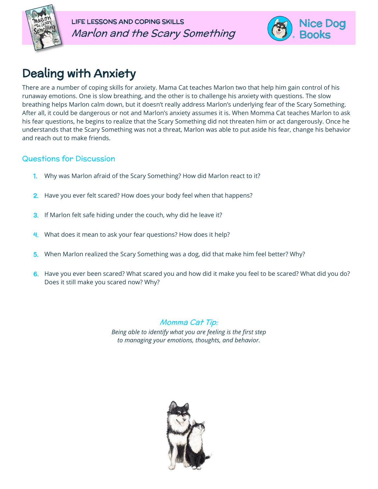



## Dealing with Anxiety

There are a number of coping skills for anxiety. Mama Cat teaches Marlon two that help him gain control of his runaway emotions. One is slow breathing, and the other is to challenge his anxiety with questions. The slow breathing helps Marlon calm down, but it doesn't really address Marlon's underlying fear of the Scary Something. After all, it could be dangerous or not and Marlon's anxiety assumes it is. When Momma Cat teaches Marlon to ask his fear questions, he begins to realize that the Scary Something did not threaten him or act dangerously. Once he understands that the Scary Something was not a threat, Marlon was able to put aside his fear, change his behavior and reach out to make friends.

#### Questions for Discussion

- 1. Why was Marlon afraid of the Scary Something? How did Marlon react to it?
- 2. Have you ever felt scared? How does your body feel when that happens?
- 3. If Marlon felt safe hiding under the couch, why did he leave it?
- 4. What does it mean to ask your fear questions? How does it help?
- 5. When Marlon realized the Scary Something was a dog, did that make him feel better? Why?
- 6. Have you ever been scared? What scared you and how did it make you feel to be scared? What did you do? Does it still make you scared now? Why?

Momma Cat Tip: *Being able to identify what you are feeling is the first step to managing your emotions, thoughts, and behavior.*